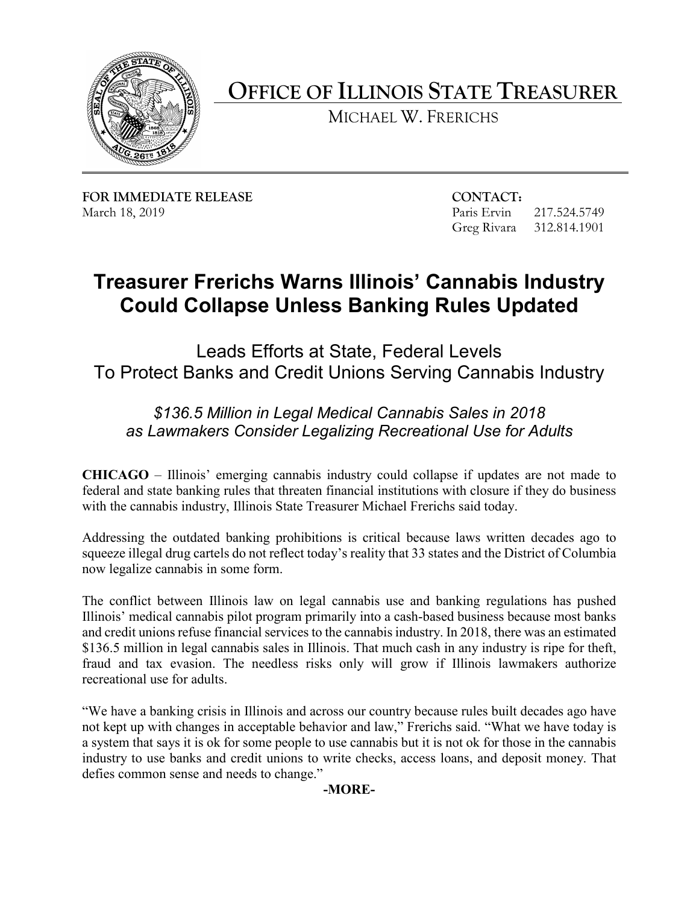

**OFFICE OF ILLINOIS STATE TREASURER** 

MICHAEL W. FRERICHS

**FOR IMMEDIATE RELEASE CONTACT:** March 18, 2019 **Paris Ervin** 217.524.5749

Greg Rivara 312.814.1901

## **Treasurer Frerichs Warns Illinois' Cannabis Industry Could Collapse Unless Banking Rules Updated**

Leads Efforts at State, Federal Levels To Protect Banks and Credit Unions Serving Cannabis Industry

## *\$136.5 Million in Legal Medical Cannabis Sales in 2018 as Lawmakers Consider Legalizing Recreational Use for Adults*

 with the cannabis industry, Illinois State Treasurer Michael Frerichs said today. **CHICAGO** – Illinois' emerging cannabis industry could collapse if updates are not made to federal and state banking rules that threaten financial institutions with closure if they do business

Addressing the outdated banking prohibitions is critical because laws written decades ago to squeeze illegal drug cartels do not reflect today's reality that 33 states and the District of Columbia now legalize cannabis in some form.

 fraud and tax evasion. The needless risks only will grow if Illinois lawmakers authorize The conflict between Illinois law on legal cannabis use and banking regulations has pushed Illinois' medical cannabis pilot program primarily into a cash-based business because most banks and credit unions refuse financial services to the cannabis industry. In 2018, there was an estimated \$136.5 million in legal cannabis sales in Illinois. That much cash in any industry is ripe for theft, recreational use for adults.

"We have a banking crisis in Illinois and across our country because rules built decades ago have not kept up with changes in acceptable behavior and law," Frerichs said. "What we have today is a system that says it is ok for some people to use cannabis but it is not ok for those in the cannabis industry to use banks and credit unions to write checks, access loans, and deposit money. That defies common sense and needs to change."

**-MORE-**